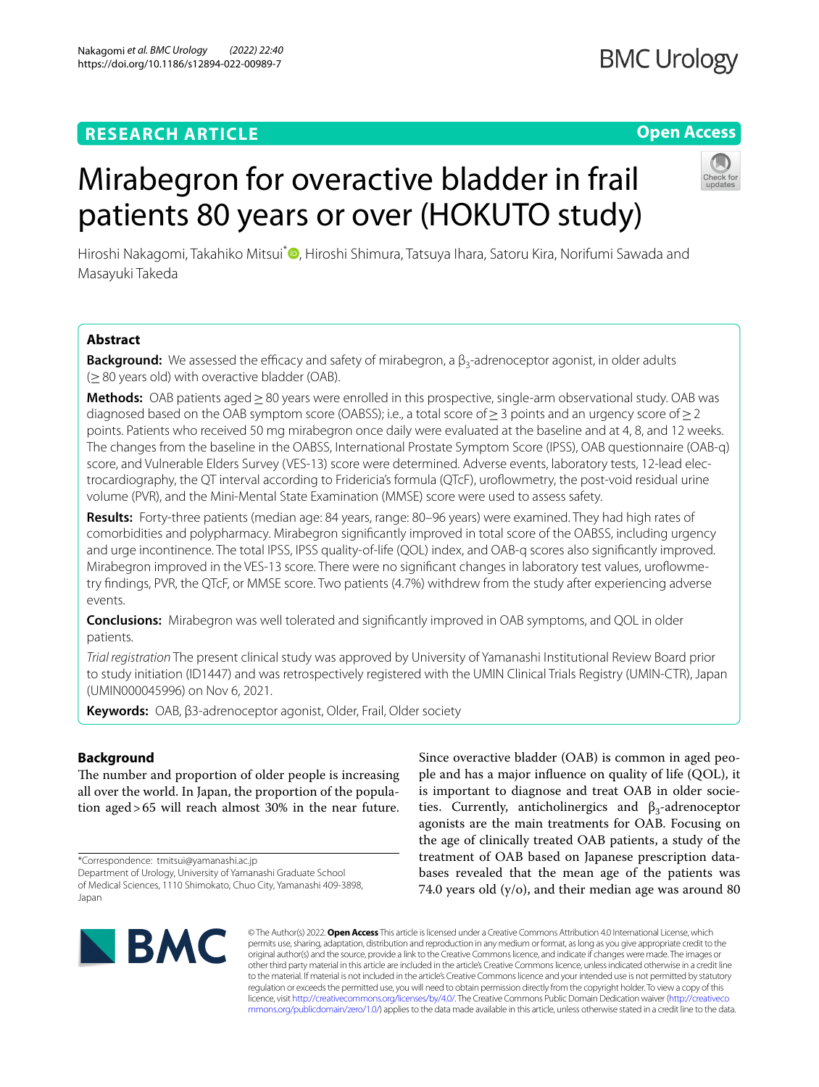# **RESEARCH ARTICLE**

# **Open Access**

# Mirabegron for overactive bladder in frail patients 80 years or over (HOKUTO study)

Hiroshi Nakagomi[,](http://orcid.org/0000-0003-0408-3678) Takahiko Mitsui<sup>\*</sup> , Hiroshi Shimura, Tatsuya Ihara, Satoru Kira, Norifumi Sawada and Masayuki Takeda

# **Abstract**

**Background:** We assessed the efficacy and safety of mirabegron, a β<sub>3</sub>-adrenoceptor agonist, in older adults (≥80 years old) with overactive bladder (OAB).

**Methods:** OAB patients aged≥80 years were enrolled in this prospective, single-arm observational study. OAB was diagnosed based on the OAB symptom score (OABSS); i.e., a total score of  $>$  3 points and an urgency score of  $>$  2 points. Patients who received 50 mg mirabegron once daily were evaluated at the baseline and at 4, 8, and 12 weeks. The changes from the baseline in the OABSS, International Prostate Symptom Score (IPSS), OAB questionnaire (OAB-q) score, and Vulnerable Elders Survey (VES-13) score were determined. Adverse events, laboratory tests, 12-lead electrocardiography, the QT interval according to Fridericia's formula (QTcF), urofowmetry, the post-void residual urine volume (PVR), and the Mini-Mental State Examination (MMSE) score were used to assess safety.

**Results:** Forty-three patients (median age: 84 years, range: 80–96 years) were examined. They had high rates of comorbidities and polypharmacy. Mirabegron signifcantly improved in total score of the OABSS, including urgency and urge incontinence. The total IPSS, IPSS quality-of-life (QOL) index, and OAB-q scores also signifcantly improved. Mirabegron improved in the VES-13 score. There were no signifcant changes in laboratory test values, urofowmetry fndings, PVR, the QTcF, or MMSE score. Two patients (4.7%) withdrew from the study after experiencing adverse events.

**Conclusions:** Mirabegron was well tolerated and signifcantly improved in OAB symptoms, and QOL in older patients.

*Trial registration* The present clinical study was approved by University of Yamanashi Institutional Review Board prior to study initiation (ID1447) and was retrospectively registered with the UMIN Clinical Trials Registry (UMIN-CTR), Japan (UMIN000045996) on Nov 6, 2021.

**Keywords:** OAB, β3-adrenoceptor agonist, Older, Frail, Older society

# **Background**

The number and proportion of older people is increasing all over the world. In Japan, the proportion of the population aged>65 will reach almost 30% in the near future.

\*Correspondence: tmitsui@yamanashi.ac.jp

Department of Urology, University of Yamanashi Graduate School of Medical Sciences, 1110 Shimokato, Chuo City, Yamanashi 409-3898, Japan

Since overactive bladder (OAB) is common in aged people and has a major infuence on quality of life (QOL), it is important to diagnose and treat OAB in older societies. Currently, anticholinergics and  $\beta_3$ -adrenoceptor agonists are the main treatments for OAB. Focusing on the age of clinically treated OAB patients, a study of the treatment of OAB based on Japanese prescription databases revealed that the mean age of the patients was 74.0 years old (y/o), and their median age was around 80



© The Author(s) 2022. **Open Access** This article is licensed under a Creative Commons Attribution 4.0 International License, which permits use, sharing, adaptation, distribution and reproduction in any medium or format, as long as you give appropriate credit to the original author(s) and the source, provide a link to the Creative Commons licence, and indicate if changes were made. The images or other third party material in this article are included in the article's Creative Commons licence, unless indicated otherwise in a credit line to the material. If material is not included in the article's Creative Commons licence and your intended use is not permitted by statutory regulation or exceeds the permitted use, you will need to obtain permission directly from the copyright holder. To view a copy of this licence, visit [http://creativecommons.org/licenses/by/4.0/.](http://creativecommons.org/licenses/by/4.0/) The Creative Commons Public Domain Dedication waiver ([http://creativeco](http://creativecommons.org/publicdomain/zero/1.0/) [mmons.org/publicdomain/zero/1.0/](http://creativecommons.org/publicdomain/zero/1.0/)) applies to the data made available in this article, unless otherwise stated in a credit line to the data.

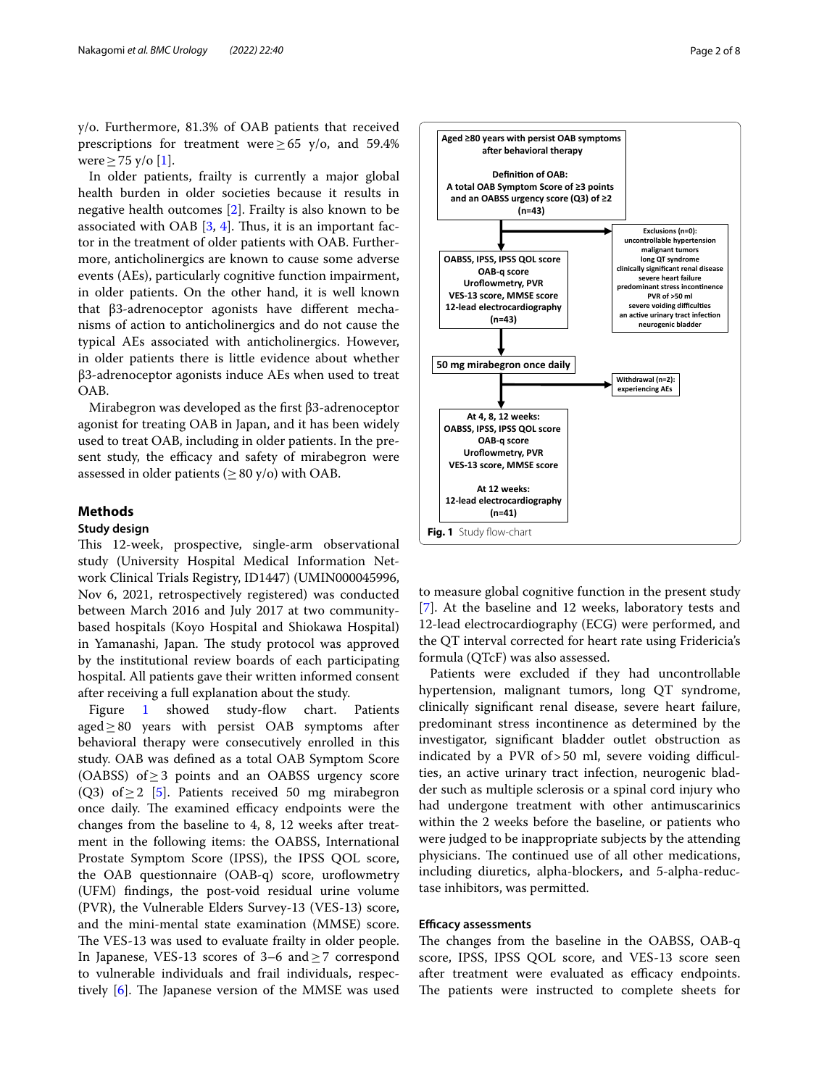y/o. Furthermore, 81.3% of OAB patients that received prescriptions for treatment were  $> 65$  y/o, and 59.4% were  $\geq$  75 y/o [[1\]](#page-6-0).

In older patients, frailty is currently a major global health burden in older societies because it results in negative health outcomes [[2\]](#page-6-1). Frailty is also known to be associated with OAB  $[3, 4]$  $[3, 4]$  $[3, 4]$  $[3, 4]$  $[3, 4]$ . Thus, it is an important factor in the treatment of older patients with OAB. Furthermore, anticholinergics are known to cause some adverse events (AEs), particularly cognitive function impairment, in older patients. On the other hand, it is well known that β3-adrenoceptor agonists have diferent mechanisms of action to anticholinergics and do not cause the typical AEs associated with anticholinergics. However, in older patients there is little evidence about whether β3-adrenoceptor agonists induce AEs when used to treat OAB.

Mirabegron was developed as the frst β3-adrenoceptor agonist for treating OAB in Japan, and it has been widely used to treat OAB, including in older patients. In the present study, the efficacy and safety of mirabegron were assessed in older patients ( $\geq 80$  y/o) with OAB.

# **Methods**

# **Study design**

This 12-week, prospective, single-arm observational study (University Hospital Medical Information Network Clinical Trials Registry, ID1447) (UMIN000045996, Nov 6, 2021, retrospectively registered) was conducted between March 2016 and July 2017 at two communitybased hospitals (Koyo Hospital and Shiokawa Hospital) in Yamanashi, Japan. The study protocol was approved by the institutional review boards of each participating hospital. All patients gave their written informed consent after receiving a full explanation about the study.

Figure [1](#page-1-0) showed study-flow chart. Patients aged≥80 years with persist OAB symptoms after behavioral therapy were consecutively enrolled in this study. OAB was defned as a total OAB Symptom Score (OABSS) of≥3 points and an OABSS urgency score (Q3) of  $\geq$  2 [\[5](#page-6-4)]. Patients received 50 mg mirabegron once daily. The examined efficacy endpoints were the changes from the baseline to 4, 8, 12 weeks after treatment in the following items: the OABSS, International Prostate Symptom Score (IPSS), the IPSS QOL score, the OAB questionnaire  $(OAB-q)$  score, uroflowmetry (UFM) fndings, the post-void residual urine volume (PVR), the Vulnerable Elders Survey-13 (VES-13) score, and the mini-mental state examination (MMSE) score. The VES-13 was used to evaluate frailty in older people. In Japanese, VES-13 scores of 3–6 and≥7 correspond to vulnerable individuals and frail individuals, respectively  $[6]$  $[6]$ . The Japanese version of the MMSE was used



<span id="page-1-0"></span>to measure global cognitive function in the present study [[7\]](#page-6-6). At the baseline and 12 weeks, laboratory tests and 12-lead electrocardiography (ECG) were performed, and the QT interval corrected for heart rate using Fridericia's formula (QTcF) was also assessed.

Patients were excluded if they had uncontrollable hypertension, malignant tumors, long QT syndrome, clinically signifcant renal disease, severe heart failure, predominant stress incontinence as determined by the investigator, signifcant bladder outlet obstruction as indicated by a PVR of  $>50$  ml, severe voiding difficulties, an active urinary tract infection, neurogenic bladder such as multiple sclerosis or a spinal cord injury who had undergone treatment with other antimuscarinics within the 2 weeks before the baseline, or patients who were judged to be inappropriate subjects by the attending physicians. The continued use of all other medications, including diuretics, alpha-blockers, and 5-alpha-reductase inhibitors, was permitted.

# **Efficacy assessments**

The changes from the baseline in the OABSS, OAB-q score, IPSS, IPSS QOL score, and VES-13 score seen after treatment were evaluated as efficacy endpoints. The patients were instructed to complete sheets for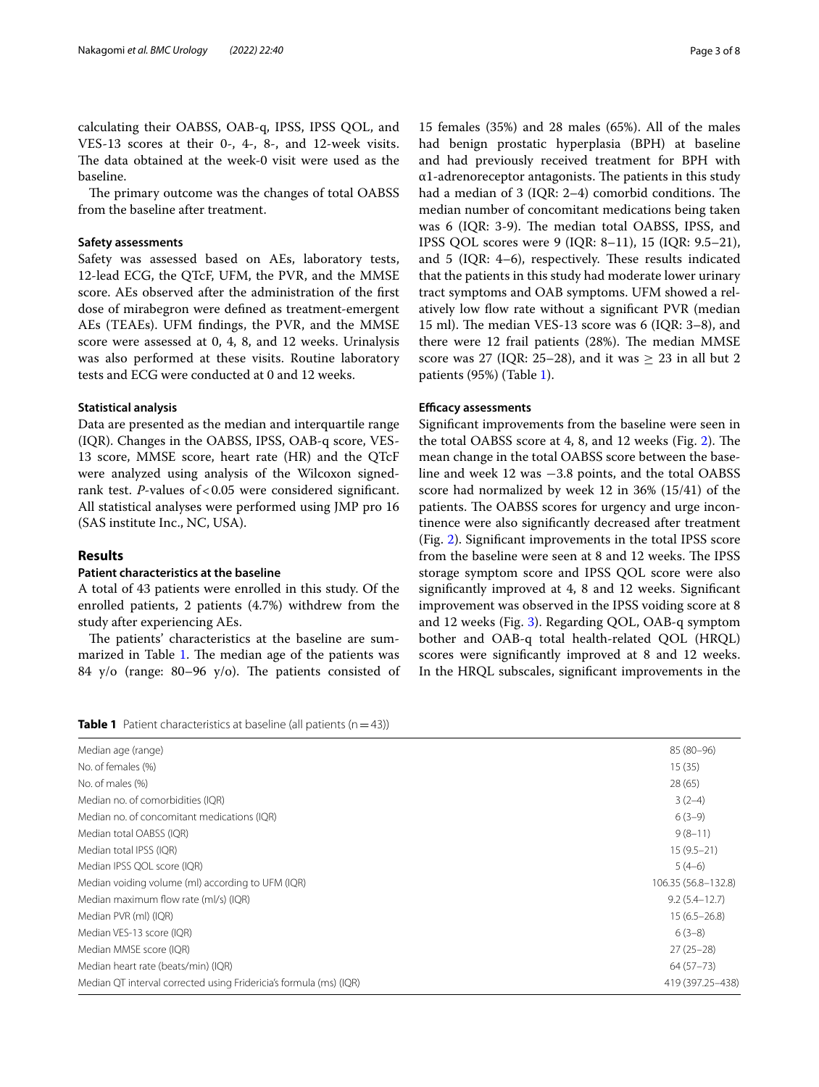calculating their OABSS, OAB-q, IPSS, IPSS QOL, and VES-13 scores at their 0-, 4-, 8-, and 12-week visits. The data obtained at the week-0 visit were used as the baseline.

The primary outcome was the changes of total OABSS from the baseline after treatment.

### **Safety assessments**

Safety was assessed based on AEs, laboratory tests, 12-lead ECG, the QTcF, UFM, the PVR, and the MMSE score. AEs observed after the administration of the frst dose of mirabegron were defned as treatment-emergent AEs (TEAEs). UFM fndings, the PVR, and the MMSE score were assessed at 0, 4, 8, and 12 weeks. Urinalysis was also performed at these visits. Routine laboratory tests and ECG were conducted at 0 and 12 weeks.

### **Statistical analysis**

Data are presented as the median and interquartile range (IQR). Changes in the OABSS, IPSS, OAB-q score, VES-13 score, MMSE score, heart rate (HR) and the QTcF were analyzed using analysis of the Wilcoxon signedrank test. *P*-values of < 0.05 were considered significant. All statistical analyses were performed using JMP pro 16 (SAS institute Inc., NC, USA).

# **Results**

#### **Patient characteristics at the baseline**

A total of 43 patients were enrolled in this study. Of the enrolled patients, 2 patients (4.7%) withdrew from the study after experiencing AEs.

The patients' characteristics at the baseline are sum-marized in Table [1.](#page-2-0) The median age of the patients was 84 y/o (range: 80–96 y/o). The patients consisted of

15 females (35%) and 28 males (65%). All of the males had benign prostatic hyperplasia (BPH) at baseline and had previously received treatment for BPH with  $\alpha$ 1-adrenoreceptor antagonists. The patients in this study had a median of  $3$  (IQR: 2-4) comorbid conditions. The median number of concomitant medications being taken was 6 (IQR: 3-9). The median total OABSS, IPSS, and IPSS QOL scores were 9 (IQR: 8–11), 15 (IQR: 9.5–21), and 5 (IQR:  $4-6$ ), respectively. These results indicated that the patients in this study had moderate lower urinary tract symptoms and OAB symptoms. UFM showed a relatively low flow rate without a significant PVR (median 15 ml). The median VES-13 score was  $6$  (IQR: 3–8), and there were 12 frail patients (28%). The median MMSE score was 27 (IQR: 25–28), and it was  $\geq$  23 in all but 2 patients (95%) (Table [1\)](#page-2-0).

#### **Efcacy assessments**

Signifcant improvements from the baseline were seen in the total OABSS score at 4, 8, and  $12$  weeks (Fig. [2\)](#page-3-0). The mean change in the total OABSS score between the baseline and week 12 was −3.8 points, and the total OABSS score had normalized by week 12 in 36% (15/41) of the patients. The OABSS scores for urgency and urge incontinence were also signifcantly decreased after treatment (Fig. [2](#page-3-0)). Signifcant improvements in the total IPSS score from the baseline were seen at 8 and 12 weeks. The IPSS storage symptom score and IPSS QOL score were also signifcantly improved at 4, 8 and 12 weeks. Signifcant improvement was observed in the IPSS voiding score at 8 and 12 weeks (Fig. [3\)](#page-4-0). Regarding QOL, OAB-q symptom bother and OAB-q total health-related QOL (HRQL) scores were signifcantly improved at 8 and 12 weeks. In the HRQL subscales, signifcant improvements in the

<span id="page-2-0"></span>

| <b>Table 1</b> Patient characteristics at baseline (all patients $(n=43)$ ) |  |
|-----------------------------------------------------------------------------|--|
|-----------------------------------------------------------------------------|--|

| Median age (range)                                                 | 85 (80-96)          |
|--------------------------------------------------------------------|---------------------|
| No. of females (%)                                                 | 15(35)              |
| No. of males (%)                                                   | 28 (65)             |
| Median no. of comorbidities (IQR)                                  | $3(2-4)$            |
| Median no. of concomitant medications (IQR)                        | $6(3-9)$            |
| Median total OABSS (IQR)                                           | $9(8-11)$           |
| Median total IPSS (IQR)                                            | $15(9.5-21)$        |
| Median IPSS QOL score (IQR)                                        | $5(4-6)$            |
| Median voiding volume (ml) according to UFM (IQR)                  | 106.35 (56.8-132.8) |
| Median maximum flow rate (ml/s) (IQR)                              | $9.2(5.4 - 12.7)$   |
| Median PVR (ml) (IQR)                                              | $15(6.5 - 26.8)$    |
| Median VES-13 score (IQR)                                          | $6(3-8)$            |
| Median MMSE score (IQR)                                            | $27(25-28)$         |
| Median heart rate (beats/min) (IQR)                                | $64(57-73)$         |
| Median QT interval corrected using Fridericia's formula (ms) (IQR) | 419 (397.25-438)    |
|                                                                    |                     |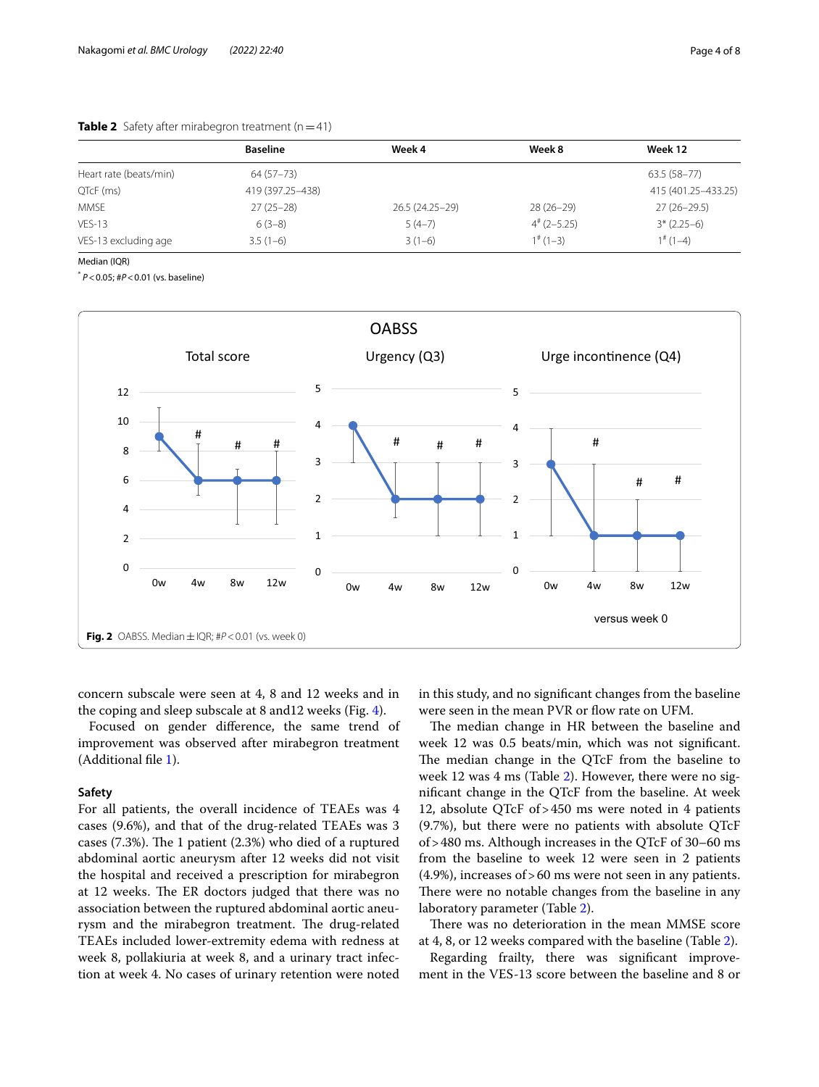|                        | <b>Baseline</b>    | Week 4          | Week 8                 | Week 12               |
|------------------------|--------------------|-----------------|------------------------|-----------------------|
| Heart rate (beats/min) | 64 (57 - 73)       |                 |                        | 63.5 (58-77)          |
| QTcF (ms)              | 419 (397.25 - 438) |                 |                        | 415 (401.25 - 433.25) |
| MMSE                   | $27(25-28)$        | 26.5 (24.25-29) | $28(26-29)$            | $27(26-29.5)$         |
| $VES-13$               | $6(3-8)$           | $5(4-7)$        | $4^{\#}$ (2-5.25)      | $3*(2.25-6)$          |
| VES-13 excluding age   | $3.5(1-6)$         | $3(1-6)$        | $1$ <sup>#</sup> (1-3) | $1^{\#}$ (1-4)        |

# <span id="page-3-1"></span>**Table 2** Safety after mirabegron treatment  $(n=41)$

Median (IQR)

\* *P*<0.05; #*P*<0.01 (vs. baseline)



<span id="page-3-0"></span>concern subscale were seen at 4, 8 and 12 weeks and in the coping and sleep subscale at 8 and12 weeks (Fig. [4\)](#page-5-0).

Focused on gender diference, the same trend of improvement was observed after mirabegron treatment (Additional fle [1](#page-6-7)).

# **Safety**

For all patients, the overall incidence of TEAEs was 4 cases (9.6%), and that of the drug-related TEAEs was 3 cases  $(7.3%)$ . The 1 patient  $(2.3%)$  who died of a ruptured abdominal aortic aneurysm after 12 weeks did not visit the hospital and received a prescription for mirabegron at 12 weeks. The ER doctors judged that there was no association between the ruptured abdominal aortic aneurysm and the mirabegron treatment. The drug-related TEAEs included lower-extremity edema with redness at week 8, pollakiuria at week 8, and a urinary tract infection at week 4. No cases of urinary retention were noted in this study, and no signifcant changes from the baseline were seen in the mean PVR or flow rate on UFM.

The median change in HR between the baseline and week 12 was 0.5 beats/min, which was not signifcant. The median change in the QTcF from the baseline to week 12 was 4 ms (Table [2\)](#page-3-1). However, there were no signifcant change in the QTcF from the baseline. At week 12, absolute QTcF of>450 ms were noted in 4 patients (9.7%), but there were no patients with absolute QTcF of>480 ms. Although increases in the QTcF of 30–60 ms from the baseline to week 12 were seen in 2 patients (4.9%), increases of>60 ms were not seen in any patients. There were no notable changes from the baseline in any laboratory parameter (Table [2\)](#page-3-1).

There was no deterioration in the mean MMSE score at 4, 8, or 12 weeks compared with the baseline (Table [2](#page-3-1)).

Regarding frailty, there was signifcant improvement in the VES-13 score between the baseline and 8 or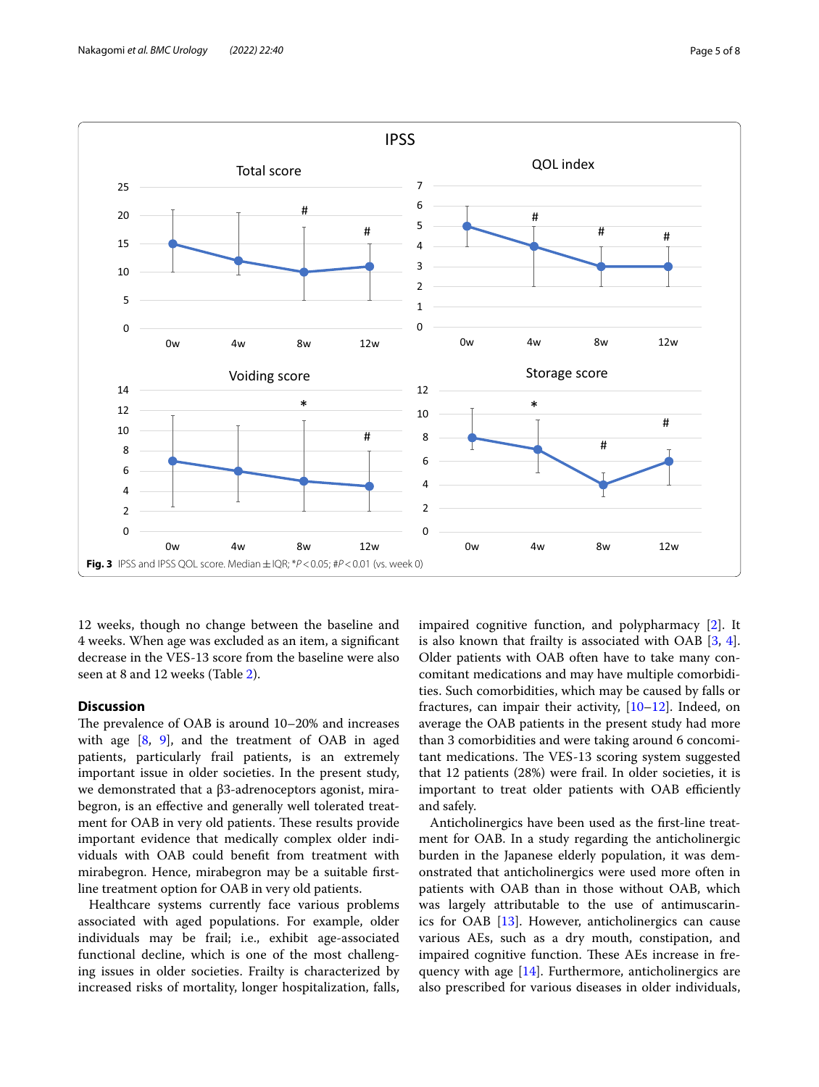

<span id="page-4-0"></span>12 weeks, though no change between the baseline and 4 weeks. When age was excluded as an item, a signifcant decrease in the VES-13 score from the baseline were also seen at 8 and 12 weeks (Table [2](#page-3-1)).

# **Discussion**

The prevalence of OAB is around  $10-20\%$  and increases with age [\[8](#page-6-8), [9\]](#page-6-9), and the treatment of OAB in aged patients, particularly frail patients, is an extremely important issue in older societies. In the present study, we demonstrated that a β3-adrenoceptors agonist, mirabegron, is an efective and generally well tolerated treatment for OAB in very old patients. These results provide important evidence that medically complex older individuals with OAB could beneft from treatment with mirabegron. Hence, mirabegron may be a suitable frstline treatment option for OAB in very old patients.

Healthcare systems currently face various problems associated with aged populations. For example, older individuals may be frail; i.e., exhibit age-associated functional decline, which is one of the most challenging issues in older societies. Frailty is characterized by increased risks of mortality, longer hospitalization, falls, impaired cognitive function, and polypharmacy [\[2\]](#page-6-1). It is also known that frailty is associated with OAB [[3,](#page-6-2) [4](#page-6-3)]. Older patients with OAB often have to take many concomitant medications and may have multiple comorbidities. Such comorbidities, which may be caused by falls or fractures, can impair their activity, [\[10](#page-6-10)[–12](#page-6-11)]. Indeed, on average the OAB patients in the present study had more than 3 comorbidities and were taking around 6 concomitant medications. The VES-13 scoring system suggested that 12 patients (28%) were frail. In older societies, it is important to treat older patients with OAB efficiently and safely.

Anticholinergics have been used as the frst-line treatment for OAB. In a study regarding the anticholinergic burden in the Japanese elderly population, it was demonstrated that anticholinergics were used more often in patients with OAB than in those without OAB, which was largely attributable to the use of antimuscarinics for OAB [[13](#page-6-12)]. However, anticholinergics can cause various AEs, such as a dry mouth, constipation, and impaired cognitive function. These AEs increase in frequency with age [\[14\]](#page-6-13). Furthermore, anticholinergics are also prescribed for various diseases in older individuals,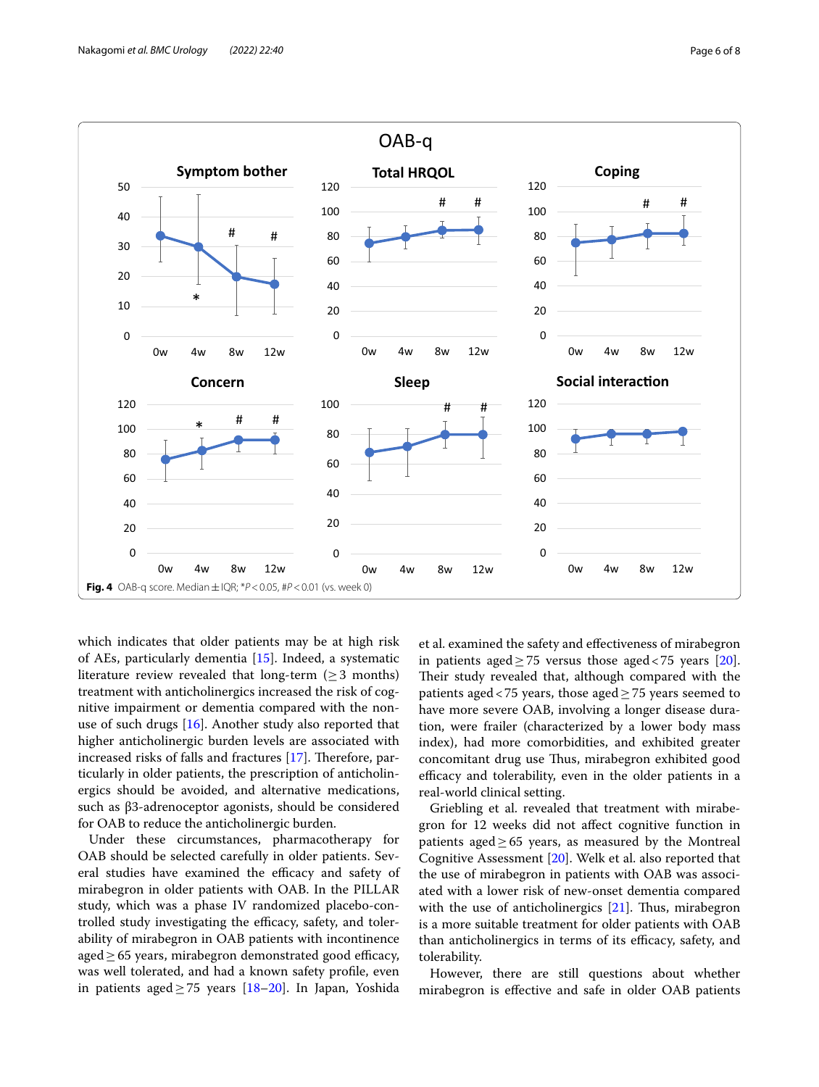

<span id="page-5-0"></span>which indicates that older patients may be at high risk of AEs, particularly dementia [[15](#page-7-0)]. Indeed, a systematic literature review revealed that long-term ( $\geq$  3 months) treatment with anticholinergics increased the risk of cognitive impairment or dementia compared with the nonuse of such drugs [[16\]](#page-7-1). Another study also reported that higher anticholinergic burden levels are associated with increased risks of falls and fractures  $[17]$  $[17]$ . Therefore, particularly in older patients, the prescription of anticholinergics should be avoided, and alternative medications, such as β3-adrenoceptor agonists, should be considered for OAB to reduce the anticholinergic burden.

Under these circumstances, pharmacotherapy for OAB should be selected carefully in older patients. Several studies have examined the efficacy and safety of mirabegron in older patients with OAB. In the PILLAR study, which was a phase IV randomized placebo-controlled study investigating the efficacy, safety, and tolerability of mirabegron in OAB patients with incontinence aged $\geq$  65 years, mirabegron demonstrated good efficacy, was well tolerated, and had a known safety profle, even in patients aged  $\geq$  75 years [\[18](#page-7-3)[–20](#page-7-4)]. In Japan, Yoshida et al. examined the safety and efectiveness of mirabegron in patients aged  $\geq$  75 versus those aged < 75 years [\[20](#page-7-4)]. Their study revealed that, although compared with the patients aged <75 years, those aged  $\geq$  75 years seemed to have more severe OAB, involving a longer disease duration, were frailer (characterized by a lower body mass index), had more comorbidities, and exhibited greater concomitant drug use Thus, mirabegron exhibited good efficacy and tolerability, even in the older patients in a real-world clinical setting.

Griebling et al. revealed that treatment with mirabegron for 12 weeks did not afect cognitive function in patients aged $\geq 65$  years, as measured by the Montreal Cognitive Assessment [\[20\]](#page-7-4). Welk et al. also reported that the use of mirabegron in patients with OAB was associated with a lower risk of new-onset dementia compared with the use of anticholinergics  $[21]$  $[21]$ . Thus, mirabegron is a more suitable treatment for older patients with OAB than anticholinergics in terms of its efficacy, safety, and tolerability.

However, there are still questions about whether mirabegron is efective and safe in older OAB patients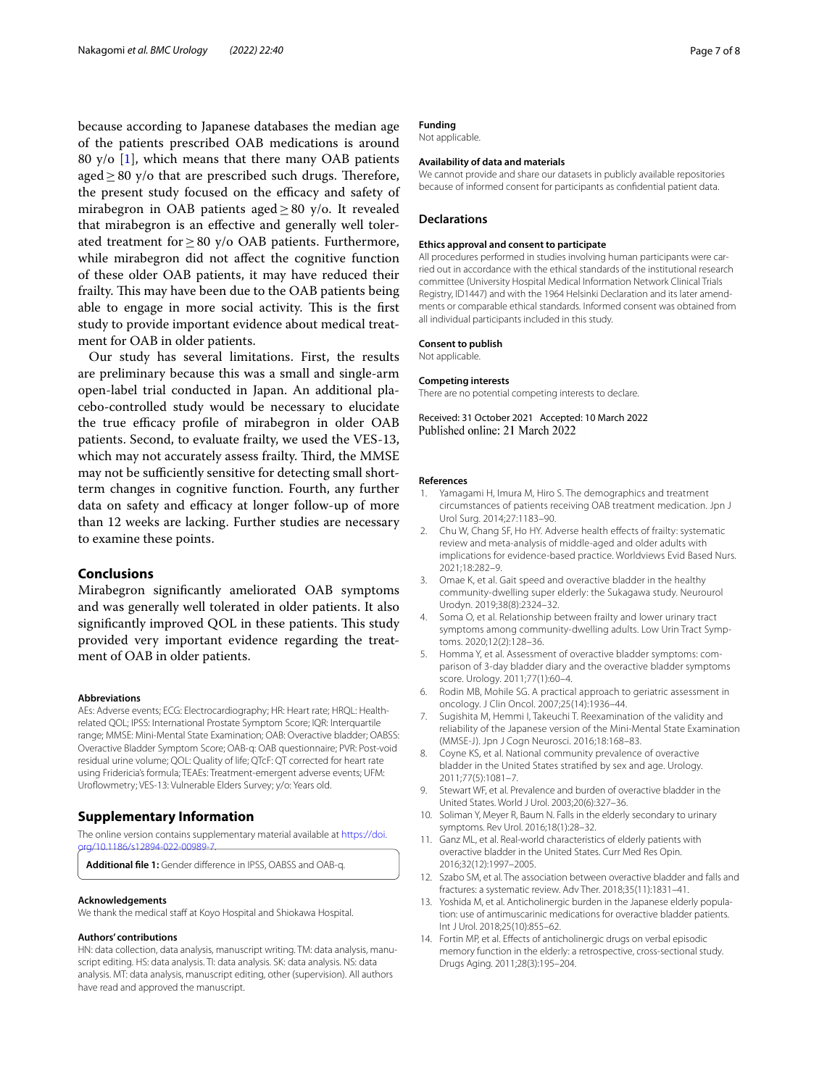because according to Japanese databases the median age of the patients prescribed OAB medications is around 80 y/o [\[1](#page-6-0)], which means that there many OAB patients aged  $\geq$  80 y/o that are prescribed such drugs. Therefore, the present study focused on the efficacy and safety of mirabegron in OAB patients aged  $\geq$  80 y/o. It revealed that mirabegron is an efective and generally well tolerated treatment for≥80 y/o OAB patients. Furthermore, while mirabegron did not affect the cognitive function of these older OAB patients, it may have reduced their frailty. This may have been due to the OAB patients being able to engage in more social activity. This is the first study to provide important evidence about medical treatment for OAB in older patients.

Our study has several limitations. First, the results are preliminary because this was a small and single-arm open-label trial conducted in Japan. An additional placebo-controlled study would be necessary to elucidate the true efficacy profile of mirabegron in older OAB patients. Second, to evaluate frailty, we used the VES-13, which may not accurately assess frailty. Third, the MMSE may not be sufficiently sensitive for detecting small shortterm changes in cognitive function. Fourth, any further data on safety and efficacy at longer follow-up of more than 12 weeks are lacking. Further studies are necessary to examine these points.

# **Conclusions**

Mirabegron signifcantly ameliorated OAB symptoms and was generally well tolerated in older patients. It also significantly improved QOL in these patients. This study provided very important evidence regarding the treatment of OAB in older patients.

#### **Abbreviations**

AEs: Adverse events; ECG: Electrocardiography; HR: Heart rate; HRQL: Healthrelated QOL; IPSS: International Prostate Symptom Score; IQR: Interquartile range; MMSE: Mini-Mental State Examination; OAB: Overactive bladder; OABSS: Overactive Bladder Symptom Score; OAB-q: OAB questionnaire; PVR: Post-void residual urine volume; QOL: Quality of life; QTcF: QT corrected for heart rate using Fridericia's formula; TEAEs: Treatment-emergent adverse events; UFM: Uroflowmetry; VES-13: Vulnerable Elders Survey; y/o: Years old.

#### **Supplementary Information**

The online version contains supplementary material available at [https://doi.](https://doi.org/10.1186/s12894-022-00989-7)  $\alpha$ /10.1196/ $\epsilon$ 12904-022-00090

<span id="page-6-7"></span>**Additional fle 1:** Gender diference in IPSS, OABSS and OAB-q.

#### **Acknowledgements**

We thank the medical staff at Koyo Hospital and Shiokawa Hospital.

#### **Authors' contributions**

HN: data collection, data analysis, manuscript writing. TM: data analysis, manuscript editing. HS: data analysis. TI: data analysis. SK: data analysis. NS: data analysis. MT: data analysis, manuscript editing, other (supervision). All authors have read and approved the manuscript.

# **Funding**

Not applicable.

#### **Availability of data and materials**

We cannot provide and share our datasets in publicly available repositories because of informed consent for participants as confdential patient data.

#### **Declarations**

#### **Ethics approval and consent to participate**

All procedures performed in studies involving human participants were carried out in accordance with the ethical standards of the institutional research committee (University Hospital Medical Information Network Clinical Trials Registry, ID1447) and with the 1964 Helsinki Declaration and its later amendments or comparable ethical standards. Informed consent was obtained from all individual participants included in this study.

#### **Consent to publish**

Not applicable.

#### **Competing interests**

There are no potential competing interests to declare.

Received: 31 October 2021 Accepted: 10 March 2022 Published online: 21 March 2022

#### **References**

- <span id="page-6-0"></span>1. Yamagami H, Imura M, Hiro S. The demographics and treatment circumstances of patients receiving OAB treatment medication. Jpn J Urol Surg. 2014;27:1183–90.
- <span id="page-6-1"></span>2. Chu W, Chang SF, Ho HY. Adverse health effects of frailty: systematic review and meta-analysis of middle-aged and older adults with implications for evidence-based practice. Worldviews Evid Based Nurs. 2021;18:282–9.
- <span id="page-6-2"></span>3. Omae K, et al. Gait speed and overactive bladder in the healthy community-dwelling super elderly: the Sukagawa study. Neurourol Urodyn. 2019;38(8):2324–32.
- <span id="page-6-3"></span>4. Soma O, et al. Relationship between frailty and lower urinary tract symptoms among community-dwelling adults. Low Urin Tract Symptoms. 2020;12(2):128–36.
- <span id="page-6-4"></span>5. Homma Y, et al. Assessment of overactive bladder symptoms: comparison of 3-day bladder diary and the overactive bladder symptoms score. Urology. 2011;77(1):60–4.
- <span id="page-6-5"></span>6. Rodin MB, Mohile SG. A practical approach to geriatric assessment in oncology. J Clin Oncol. 2007;25(14):1936–44.
- <span id="page-6-6"></span>7. Sugishita M, Hemmi I, Takeuchi T. Reexamination of the validity and reliability of the Japanese version of the Mini-Mental State Examination (MMSE-J). Jpn J Cogn Neurosci. 2016;18:168–83.
- <span id="page-6-8"></span>8. Coyne KS, et al. National community prevalence of overactive bladder in the United States stratifed by sex and age. Urology. 2011;77(5):1081–7.
- <span id="page-6-9"></span>9. Stewart WF, et al. Prevalence and burden of overactive bladder in the United States. World J Urol. 2003;20(6):327–36.
- <span id="page-6-10"></span>10. Soliman Y, Meyer R, Baum N. Falls in the elderly secondary to urinary symptoms. Rev Urol. 2016;18(1):28–32.
- 11. Ganz ML, et al. Real-world characteristics of elderly patients with overactive bladder in the United States. Curr Med Res Opin. 2016;32(12):1997–2005.
- <span id="page-6-11"></span>12. Szabo SM, et al. The association between overactive bladder and falls and fractures: a systematic review. Adv Ther. 2018;35(11):1831–41.
- <span id="page-6-12"></span>13. Yoshida M, et al. Anticholinergic burden in the Japanese elderly population: use of antimuscarinic medications for overactive bladder patients. Int J Urol. 2018;25(10):855–62.
- <span id="page-6-13"></span>14. Fortin MP, et al. Efects of anticholinergic drugs on verbal episodic memory function in the elderly: a retrospective, cross-sectional study. Drugs Aging. 2011;28(3):195–204.